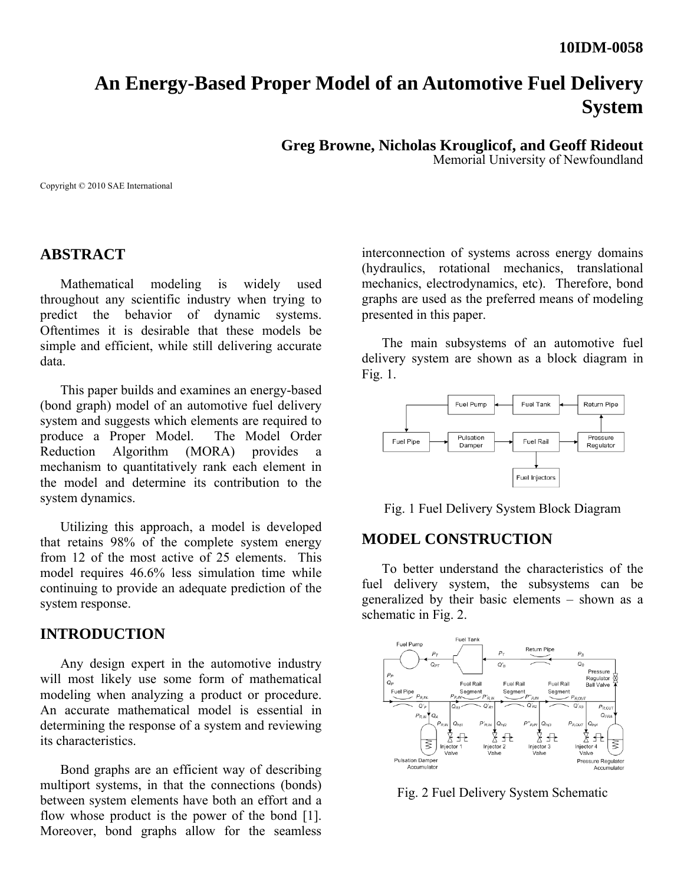### **10IDM-0058**

# **An Energy-Based Proper Model of an Automotive Fuel Delivery System**

**Greg Browne, Nicholas Krouglicof, and Geoff Rideout** 

Memorial University of Newfoundland

Copyright © 2010 SAE International

## **ABSTRACT**

Mathematical modeling is widely used throughout any scientific industry when trying to predict the behavior of dynamic systems. Oftentimes it is desirable that these models be simple and efficient, while still delivering accurate data.

This paper builds and examines an energy-based (bond graph) model of an automotive fuel delivery system and suggests which elements are required to produce a Proper Model. The Model Order Reduction Algorithm (MORA) provides a mechanism to quantitatively rank each element in the model and determine its contribution to the system dynamics.

Utilizing this approach, a model is developed that retains 98% of the complete system energy from 12 of the most active of 25 elements. This model requires 46.6% less simulation time while continuing to provide an adequate prediction of the system response.

### **INTRODUCTION**

Any design expert in the automotive industry will most likely use some form of mathematical modeling when analyzing a product or procedure. An accurate mathematical model is essential in determining the response of a system and reviewing its characteristics.

Bond graphs are an efficient way of describing multiport systems, in that the connections (bonds) between system elements have both an effort and a flow whose product is the power of the bond [1]. Moreover, bond graphs allow for the seamless

interconnection of systems across energy domains (hydraulics, rotational mechanics, translational mechanics, electrodynamics, etc). Therefore, bond graphs are used as the preferred means of modeling presented in this paper.

The main subsystems of an automotive fuel delivery system are shown as a block diagram in Fig. 1.



Fig. 1 Fuel Delivery System Block Diagram

## **MODEL CONSTRUCTION**

To better understand the characteristics of the fuel delivery system, the subsystems can be generalized by their basic elements – shown as a schematic in Fig. 2.



Fig. 2 Fuel Delivery System Schematic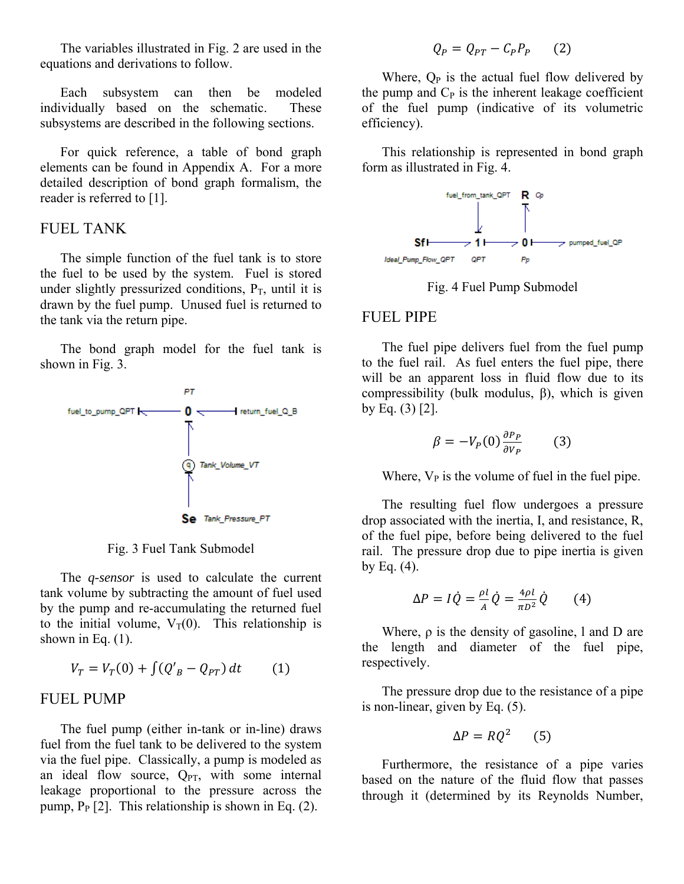The variables illustrated in Fig. 2 are used in the equations and derivations to follow.

Each subsystem can then be modeled individually based on the schematic. These subsystems are described in the following sections.

For quick reference, a table of bond graph elements can be found in Appendix A. For a more detailed description of bond graph formalism, the reader is referred to [1].

### FUEL TANK

The simple function of the fuel tank is to store the fuel to be used by the system. Fuel is stored under slightly pressurized conditions,  $P_T$ , until it is drawn by the fuel pump. Unused fuel is returned to the tank via the return pipe.

The bond graph model for the fuel tank is shown in Fig. 3.



Fig. 3 Fuel Tank Submodel

The *q-sensor* is used to calculate the current tank volume by subtracting the amount of fuel used by the pump and re-accumulating the returned fuel to the initial volume,  $V_T(0)$ . This relationship is shown in Eq.  $(1)$ .

$$
V_T = V_T(0) + \int (Q'_B - Q_{PT}) dt \qquad (1)
$$

#### FUEL PUMP

The fuel pump (either in-tank or in-line) draws fuel from the fuel tank to be delivered to the system via the fuel pipe. Classically, a pump is modeled as an ideal flow source,  $Q_{PT}$ , with some internal leakage proportional to the pressure across the pump,  $P_P$  [2]. This relationship is shown in Eq. (2).

$$
Q_P = Q_{PT} - C_P P_P \qquad (2)
$$

Where,  $Q_P$  is the actual fuel flow delivered by the pump and  $C_P$  is the inherent leakage coefficient of the fuel pump (indicative of its volumetric efficiency).

This relationship is represented in bond graph form as illustrated in Fig. 4.



Fig. 4 Fuel Pump Submodel

#### FUEL PIPE

The fuel pipe delivers fuel from the fuel pump to the fuel rail. As fuel enters the fuel pipe, there will be an apparent loss in fluid flow due to its compressibility (bulk modulus, β), which is given by Eq. (3) [2].

$$
\beta = -V_P(0) \frac{\partial P_P}{\partial V_P} \qquad (3)
$$

Where,  $V_P$  is the volume of fuel in the fuel pipe.

The resulting fuel flow undergoes a pressure drop associated with the inertia, I, and resistance, R, of the fuel pipe, before being delivered to the fuel rail. The pressure drop due to pipe inertia is given by Eq.  $(4)$ .

$$
\Delta P = I \dot{Q} = \frac{\rho l}{A} \dot{Q} = \frac{4\rho l}{\pi D^2} \dot{Q} \qquad (4)
$$

Where,  $\rho$  is the density of gasoline, l and D are the length and diameter of the fuel pipe, respectively.

The pressure drop due to the resistance of a pipe is non-linear, given by Eq. (5).

$$
\Delta P = RQ^2 \qquad (5)
$$

Furthermore, the resistance of a pipe varies based on the nature of the fluid flow that passes through it (determined by its Reynolds Number,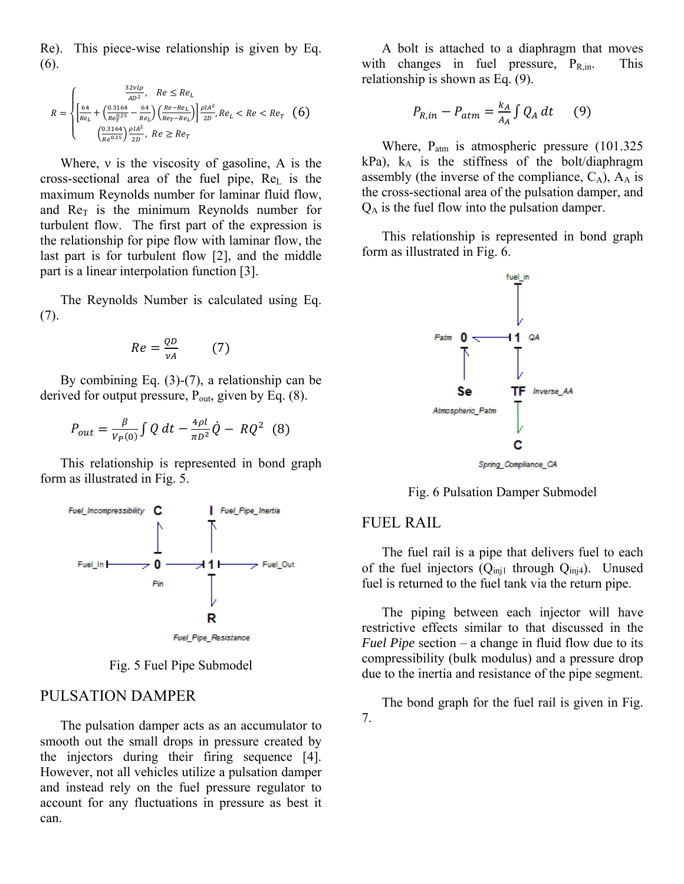Re). This piece-wise relationship is given by Eq. (6).

$$
R = \begin{cases} \frac{32\nu l \rho}{AD^2}, & Re \leq Re_L\\ \left[\frac{64}{Re_L} + \left(\frac{0.3164}{Re_T^{0.25}} - \frac{64}{Re_L}\right) \left(\frac{Re-Re_L}{Re_T-Re_L}\right)\right] \frac{\rho l A^2}{2D}, Re_L < Re < Re_T \quad (6) \\ \left(\frac{0.3164}{Re_T^{0.25}}\right) \frac{\rho l A^2}{2D}, & Re \geq Re_T \end{cases}
$$

Where, ν is the viscosity of gasoline, A is the cross-sectional area of the fuel pipe,  $Re<sub>L</sub>$  is the maximum Reynolds number for laminar fluid flow, and  $Re<sub>T</sub>$  is the minimum Reynolds number for turbulent flow. The first part of the expression is the relationship for pipe flow with laminar flow, the last part is for turbulent flow [2], and the middle part is a linear interpolation function [3].

The Reynolds Number is calculated using Eq. (7).

$$
Re = \frac{QD}{\nu A} \tag{7}
$$

By combining Eq. (3)-(7), a relationship can be derived for output pressure,  $P_{out}$ , given by Eq. (8).

$$
P_{out} = \frac{\beta}{V_P(0)} \int Q \, dt - \frac{4\rho l}{\pi D^2} \dot{Q} - RQ^2 \tag{8}
$$

This relationship is represented in bond graph form as illustrated in Fig. 5.



Fig. 5 Fuel Pipe Submodel

#### PULSATION DAMPER

The pulsation damper acts as an accumulator to smooth out the small drops in pressure created by the injectors during their firing sequence [4]. However, not all vehicles utilize a pulsation damper and instead rely on the fuel pressure regulator to account for any fluctuations in pressure as best it can.

A bolt is attached to a diaphragm that moves with changes in fuel pressure,  $P_{R,in}$ . This relationship is shown as Eq. (9).

$$
P_{R,in} - P_{atm} = \frac{k_A}{A_A} \int Q_A \, dt \qquad (9)
$$

Where,  $P_{\text{atm}}$  is atmospheric pressure (101.325) kPa), kA is the stiffness of the bolt/diaphragm assembly (the inverse of the compliance,  $C_A$ ),  $A_A$  is the cross-sectional area of the pulsation damper, and  $Q_A$  is the fuel flow into the pulsation damper.

This relationship is represented in bond graph form as illustrated in Fig. 6.



Fig. 6 Pulsation Damper Submodel

#### FUEL RAIL

The fuel rail is a pipe that delivers fuel to each of the fuel injectors  $(Q_{inj1}$  through  $Q_{inj4})$ . Unused fuel is returned to the fuel tank via the return pipe.

The piping between each injector will have restrictive effects similar to that discussed in the *Fuel Pipe* section – a change in fluid flow due to its compressibility (bulk modulus) and a pressure drop due to the inertia and resistance of the pipe segment.

The bond graph for the fuel rail is given in Fig. 7.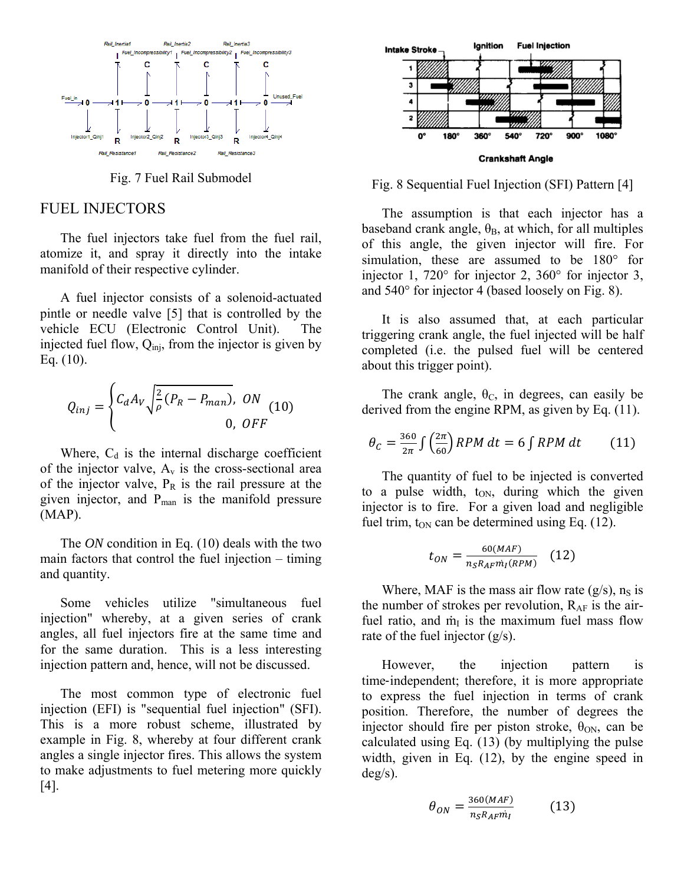

Fig. 7 Fuel Rail Submodel

### FUEL INJECTORS

The fuel injectors take fuel from the fuel rail, atomize it, and spray it directly into the intake manifold of their respective cylinder.

A fuel injector consists of a solenoid-actuated pintle or needle valve [5] that is controlled by the vehicle ECU (Electronic Control Unit). The injected fuel flow,  $Q_{\text{ini}}$ , from the injector is given by Eq. (10).

$$
Q_{inj} = \begin{cases} C_d A_V \sqrt{\frac{2}{\rho} (P_R - P_{man})}, & 0N \\ 0, & 0FF \end{cases}
$$
 (10)

Where,  $C_d$  is the internal discharge coefficient of the injector valve,  $A_v$  is the cross-sectional area of the injector valve,  $P_R$  is the rail pressure at the given injector, and  $P_{man}$  is the manifold pressure (MAP).

The *ON* condition in Eq. (10) deals with the two main factors that control the fuel injection – timing and quantity.

Some vehicles utilize "simultaneous fuel injection" whereby, at a given series of crank angles, all fuel injectors fire at the same time and for the same duration. This is a less interesting injection pattern and, hence, will not be discussed.

The most common type of electronic fuel injection (EFI) is "sequential fuel injection" (SFI). This is a more robust scheme, illustrated by example in Fig. 8, whereby at four different crank angles a single injector fires. This allows the system to make adjustments to fuel metering more quickly [4].



Fig. 8 Sequential Fuel Injection (SFI) Pattern [4]

The assumption is that each injector has a baseband crank angle,  $\theta_B$ , at which, for all multiples of this angle, the given injector will fire. For simulation, these are assumed to be 180° for injector 1, 720° for injector 2, 360° for injector 3, and 540° for injector 4 (based loosely on Fig. 8).

It is also assumed that, at each particular triggering crank angle, the fuel injected will be half completed (i.e. the pulsed fuel will be centered about this trigger point).

The crank angle,  $\theta_c$ , in degrees, can easily be derived from the engine RPM, as given by Eq. (11).

$$
\theta_C = \frac{360}{2\pi} \int \left(\frac{2\pi}{60}\right) RPM \, dt = 6 \int RPM \, dt \qquad (11)
$$

The quantity of fuel to be injected is converted to a pulse width,  $t_{ON}$ , during which the given injector is to fire. For a given load and negligible fuel trim,  $t_{ON}$  can be determined using Eq. (12).

$$
t_{ON} = \frac{60(MAF)}{n_S R_A F m_I (RPM)} \quad (12)
$$

Where, MAF is the mass air flow rate  $(g/s)$ , n<sub>S</sub> is the number of strokes per revolution,  $R_{AF}$  is the airfuel ratio, and  $\dot{m}_{I}$  is the maximum fuel mass flow rate of the fuel injector (g/s).

However, the injection pattern is time‐independent; therefore, it is more appropriate to express the fuel injection in terms of crank position. Therefore, the number of degrees the injector should fire per piston stroke,  $\theta_{ON}$ , can be calculated using Eq. (13) (by multiplying the pulse width, given in Eq. (12), by the engine speed in deg/s).

$$
\theta_{ON} = \frac{360(MAF)}{n_S R_A F m_I} \tag{13}
$$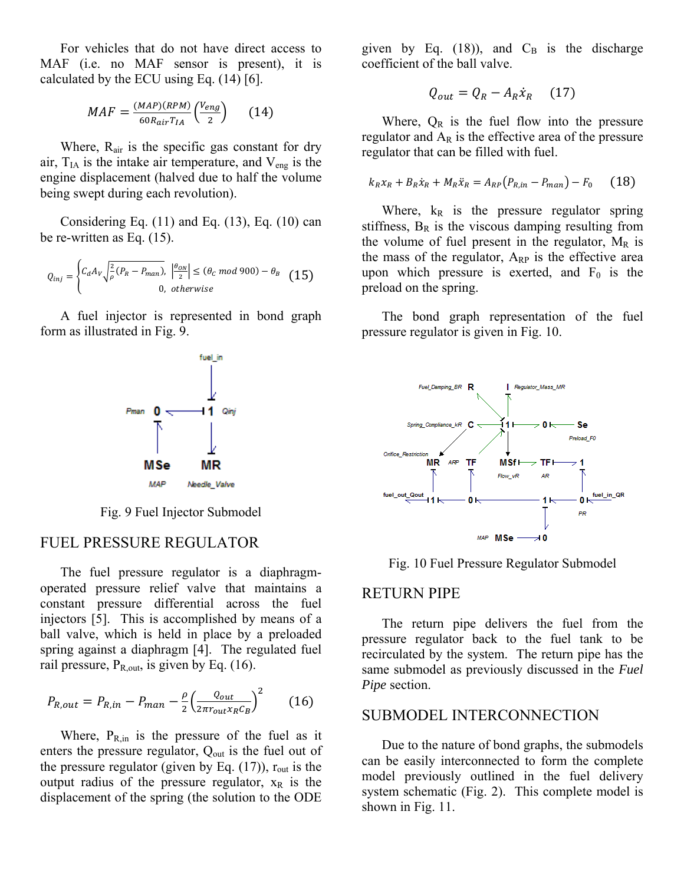For vehicles that do not have direct access to MAF (i.e. no MAF sensor is present), it is calculated by the ECU using Eq. (14) [6].

$$
MAF = \frac{(MAP)(RPM)}{60R_{air}T_{IA}} \left(\frac{V_{eng}}{2}\right) \tag{14}
$$

Where, R<sub>air</sub> is the specific gas constant for dry air,  $T<sub>IA</sub>$  is the intake air temperature, and  $V<sub>eng</sub>$  is the engine displacement (halved due to half the volume being swept during each revolution).

Considering Eq.  $(11)$  and Eq.  $(13)$ , Eq.  $(10)$  can be re-written as Eq. (15).

$$
Q_{inj} = \begin{cases} C_d A_V \sqrt{\frac{2}{\rho} (P_R - P_{man})}, & \left| \frac{\theta_{ON}}{2} \right| \le (\theta_c \text{ mod } 900) - \theta_B \\ 0, & \text{otherwise} \end{cases} \tag{15}
$$

A fuel injector is represented in bond graph form as illustrated in Fig. 9.



Fig. 9 Fuel Injector Submodel

#### FUEL PRESSURE REGULATOR

The fuel pressure regulator is a diaphragmoperated pressure relief valve that maintains a constant pressure differential across the fuel injectors [5]. This is accomplished by means of a ball valve, which is held in place by a preloaded spring against a diaphragm [4]. The regulated fuel rail pressure,  $P_{R,out}$  is given by Eq. (16).

$$
P_{R,out} = P_{R,in} - P_{man} - \frac{\rho}{2} \left(\frac{Q_{out}}{2\pi r_{out} x_R C_B}\right)^2 \tag{16}
$$

Where,  $P_{R,in}$  is the pressure of the fuel as it enters the pressure regulator,  $Q_{out}$  is the fuel out of the pressure regulator (given by Eq.  $(17)$ ),  $r_{out}$  is the output radius of the pressure regulator,  $x_R$  is the displacement of the spring (the solution to the ODE given by Eq. (18)), and  $C_B$  is the discharge coefficient of the ball valve.

$$
Q_{out} = Q_R - A_R \dot{x}_R \quad (17)
$$

Where,  $Q_R$  is the fuel flow into the pressure regulator and  $A_R$  is the effective area of the pressure regulator that can be filled with fuel.

$$
k_{R}x_{R} + B_{R}\dot{x}_{R} + M_{R}\ddot{x}_{R} = A_{RP}(P_{R,in} - P_{man}) - F_{0}
$$
 (18)

Where,  $k_R$  is the pressure regulator spring stiffness,  $B_R$  is the viscous damping resulting from the volume of fuel present in the regulator,  $M_R$  is the mass of the regulator,  $A_{RP}$  is the effective area upon which pressure is exerted, and  $F_0$  is the preload on the spring.

The bond graph representation of the fuel pressure regulator is given in Fig. 10.



Fig. 10 Fuel Pressure Regulator Submodel

#### RETURN PIPE

The return pipe delivers the fuel from the pressure regulator back to the fuel tank to be recirculated by the system. The return pipe has the same submodel as previously discussed in the *Fuel Pipe* section.

### SUBMODEL INTERCONNECTION

Due to the nature of bond graphs, the submodels can be easily interconnected to form the complete model previously outlined in the fuel delivery system schematic (Fig. 2). This complete model is shown in Fig. 11.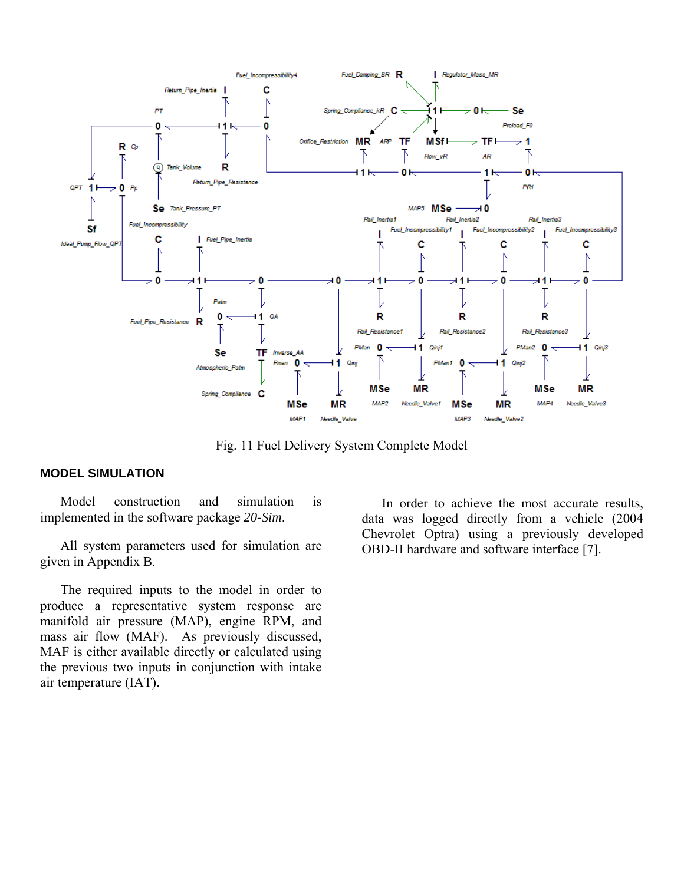

Fig. 11 Fuel Delivery System Complete Model

#### **MODEL SIMULATION**

Model construction and simulation is implemented in the software package *20-Sim*.

All system parameters used for simulation are given in Appendix B.

The required inputs to the model in order to produce a representative system response are manifold air pressure (MAP), engine RPM, and mass air flow (MAF). As previously discussed, MAF is either available directly or calculated using the previous two inputs in conjunction with intake air temperature (IAT).

In order to achieve the most accurate results, data was logged directly from a vehicle (2004 Chevrolet Optra) using a previously developed OBD-II hardware and software interface [7].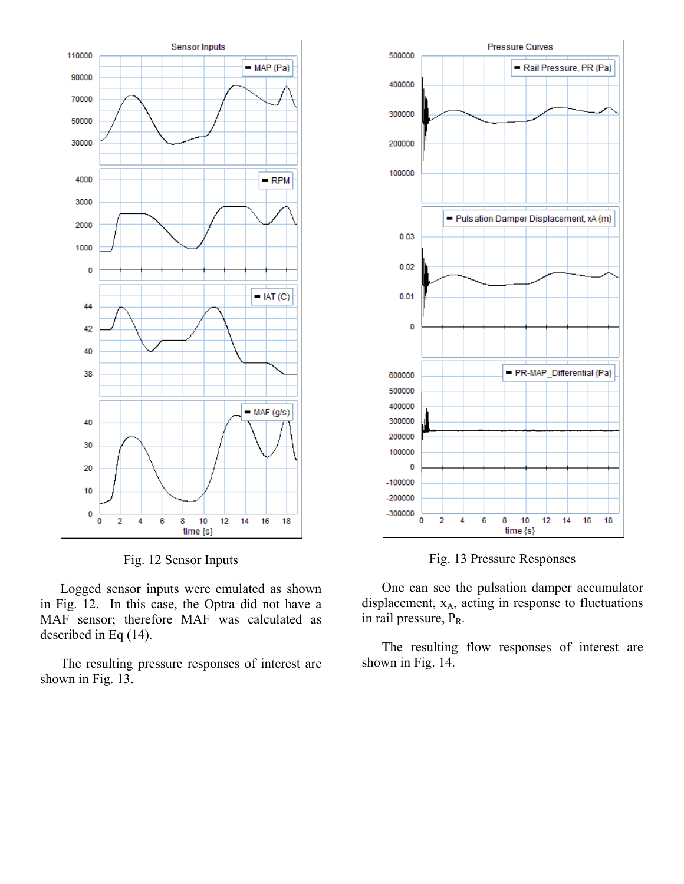

Fig. 12 Sensor Inputs

Logged sensor inputs were emulated as shown in Fig. 12. In this case, the Optra did not have a MAF sensor; therefore MAF was calculated as described in Eq (14).

The resulting pressure responses of interest are shown in Fig. 13.



Fig. 13 Pressure Responses

One can see the pulsation damper accumulator displacement,  $x_A$ , acting in response to fluctuations in rail pressure,  $P_R$ .

The resulting flow responses of interest are shown in Fig. 14.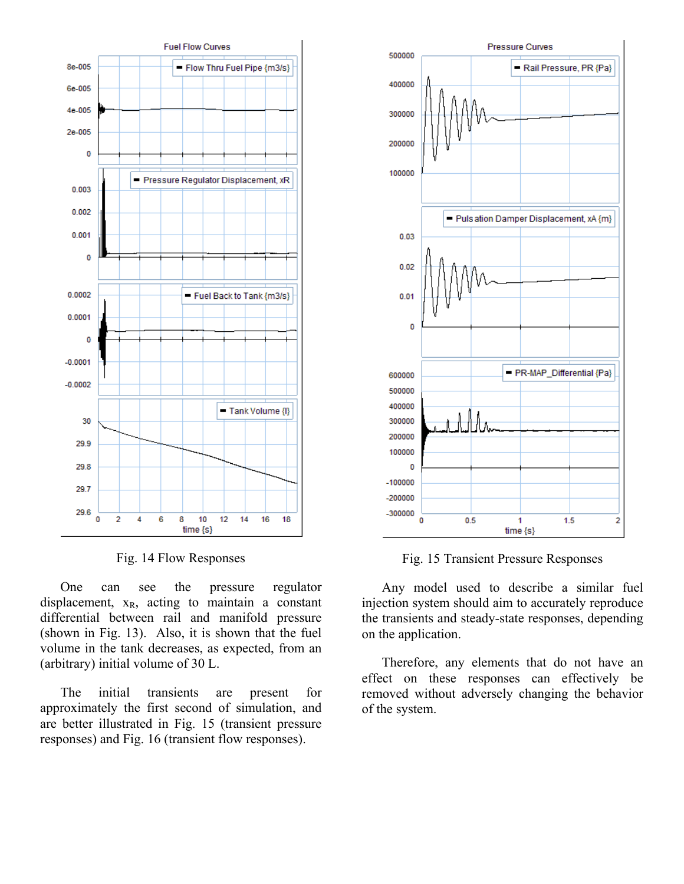

Fig. 14 Flow Responses

One can see the pressure regulator displacement,  $x_R$ , acting to maintain a constant differential between rail and manifold pressure (shown in Fig. 13). Also, it is shown that the fuel volume in the tank decreases, as expected, from an (arbitrary) initial volume of 30 L.

The initial transients are present for approximately the first second of simulation, and are better illustrated in Fig. 15 (transient pressure responses) and Fig. 16 (transient flow responses).



Fig. 15 Transient Pressure Responses

Any model used to describe a similar fuel injection system should aim to accurately reproduce the transients and steady-state responses, depending on the application.

Therefore, any elements that do not have an effect on these responses can effectively be removed without adversely changing the behavior of the system.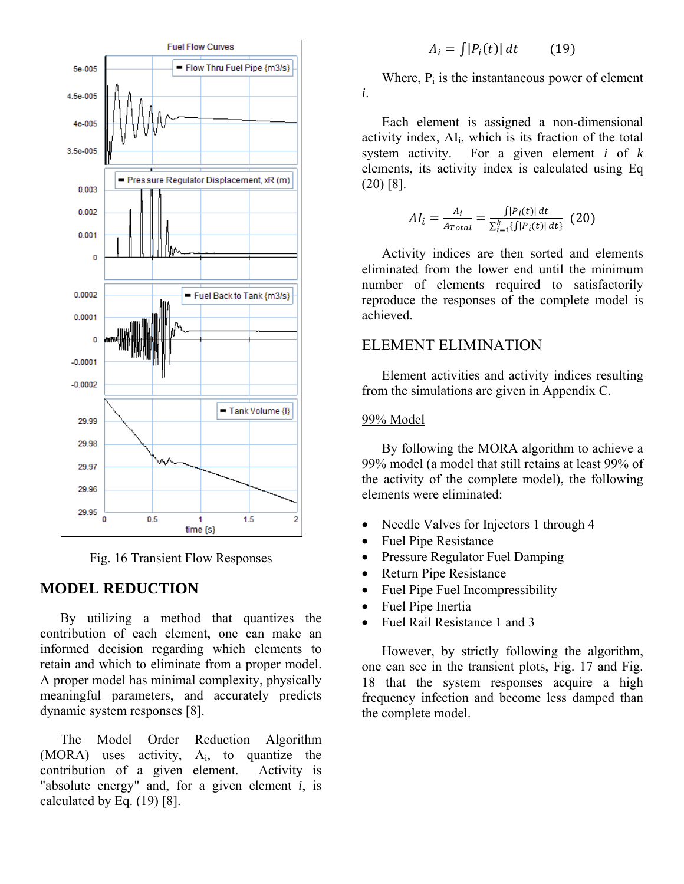

Fig. 16 Transient Flow Responses

### **MODEL REDUCTION**

By utilizing a method that quantizes the contribution of each element, one can make an informed decision regarding which elements to retain and which to eliminate from a proper model. A proper model has minimal complexity, physically meaningful parameters, and accurately predicts dynamic system responses [8].

The Model Order Reduction Algorithm (MORA) uses activity, Ai, to quantize the contribution of a given element. Activity is "absolute energy" and, for a given element *i*, is calculated by Eq. (19) [8].

## $A_i = \int |P_i(t)| dt$  (19)

Where,  $P_i$  is the instantaneous power of element *i*.

Each element is assigned a non-dimensional activity index,  $AI_i$ , which is its fraction of the total system activity. For a given element *i* of *k* elements, its activity index is calculated using Eq (20) [8].

$$
AI_{i} = \frac{A_{i}}{A_{Total}} = \frac{\int |P_{i}(t)| dt}{\sum_{i=1}^{k} \{ \int |P_{i}(t)| dt \}} (20)
$$

Activity indices are then sorted and elements eliminated from the lower end until the minimum number of elements required to satisfactorily reproduce the responses of the complete model is achieved.

## ELEMENT ELIMINATION

Element activities and activity indices resulting from the simulations are given in Appendix C.

#### 99% Model

By following the MORA algorithm to achieve a 99% model (a model that still retains at least 99% of the activity of the complete model), the following elements were eliminated:

- Needle Valves for Injectors 1 through 4
- Fuel Pipe Resistance
- Pressure Regulator Fuel Damping
- Return Pipe Resistance
- Fuel Pipe Fuel Incompressibility
- Fuel Pipe Inertia
- Fuel Rail Resistance 1 and 3

However, by strictly following the algorithm, one can see in the transient plots, Fig. 17 and Fig. 18 that the system responses acquire a high frequency infection and become less damped than the complete model.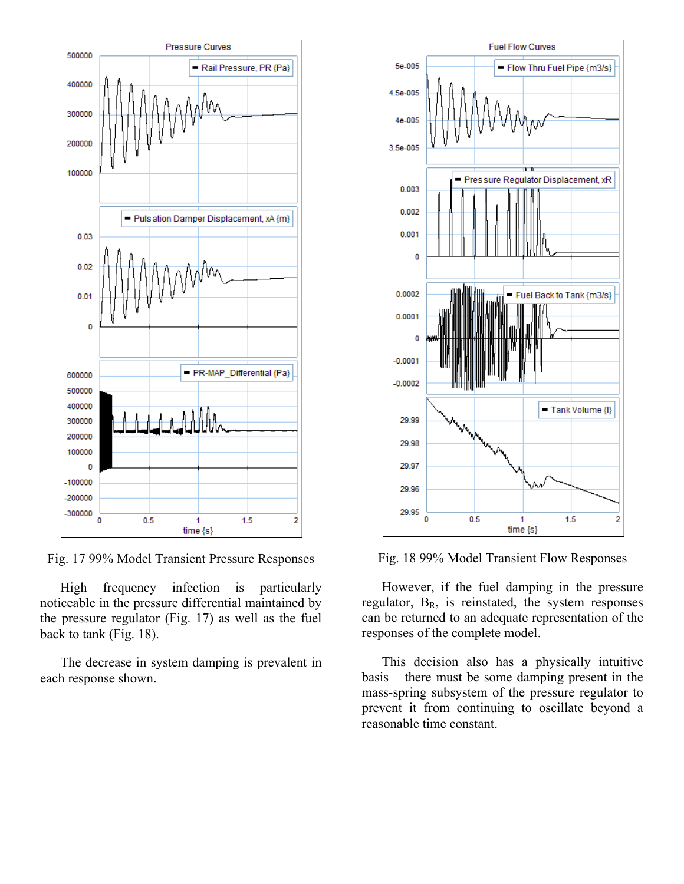

Fig. 17 99% Model Transient Pressure Responses

High frequency infection is particularly noticeable in the pressure differential maintained by the pressure regulator (Fig. 17) as well as the fuel back to tank (Fig. 18).

The decrease in system damping is prevalent in each response shown.



Fig. 18 99% Model Transient Flow Responses

However, if the fuel damping in the pressure regulator,  $B_R$ , is reinstated, the system responses can be returned to an adequate representation of the responses of the complete model.

This decision also has a physically intuitive basis – there must be some damping present in the mass-spring subsystem of the pressure regulator to prevent it from continuing to oscillate beyond a reasonable time constant.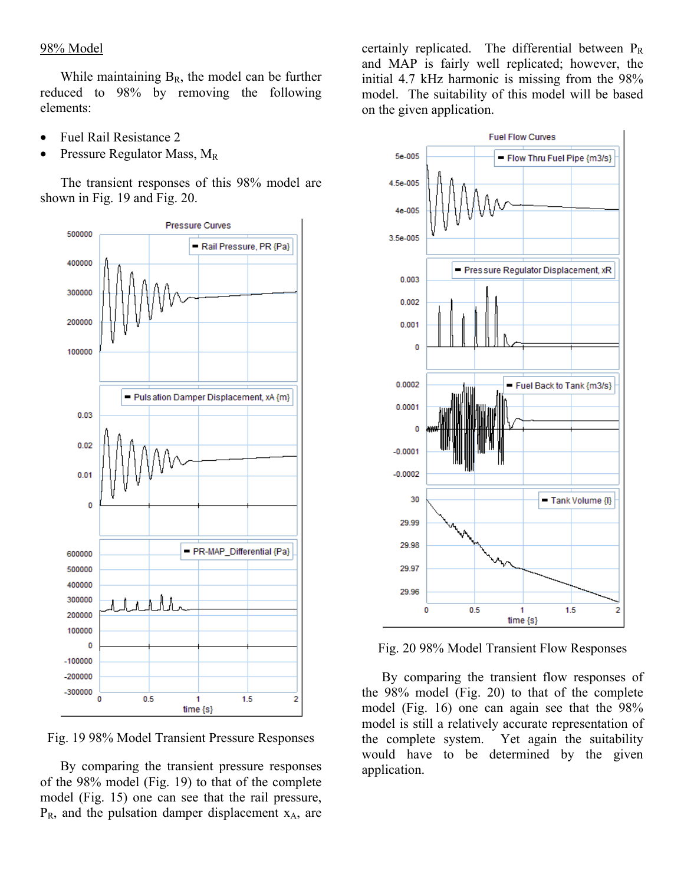#### 98% Model

While maintaining  $B_R$ , the model can be further reduced to 98% by removing the following elements:

- Fuel Rail Resistance 2
- Pressure Regulator Mass, MR

The transient responses of this 98% model are shown in Fig. 19 and Fig. 20.



Fig. 19 98% Model Transient Pressure Responses

By comparing the transient pressure responses of the 98% model (Fig. 19) to that of the complete model (Fig. 15) one can see that the rail pressure,  $P_R$ , and the pulsation damper displacement  $x_A$ , are

certainly replicated. The differential between  $P_R$ and MAP is fairly well replicated; however, the initial 4.7 kHz harmonic is missing from the 98% model. The suitability of this model will be based on the given application.



Fig. 20 98% Model Transient Flow Responses

By comparing the transient flow responses of the 98% model (Fig. 20) to that of the complete model (Fig. 16) one can again see that the 98% model is still a relatively accurate representation of the complete system. Yet again the suitability would have to be determined by the given application.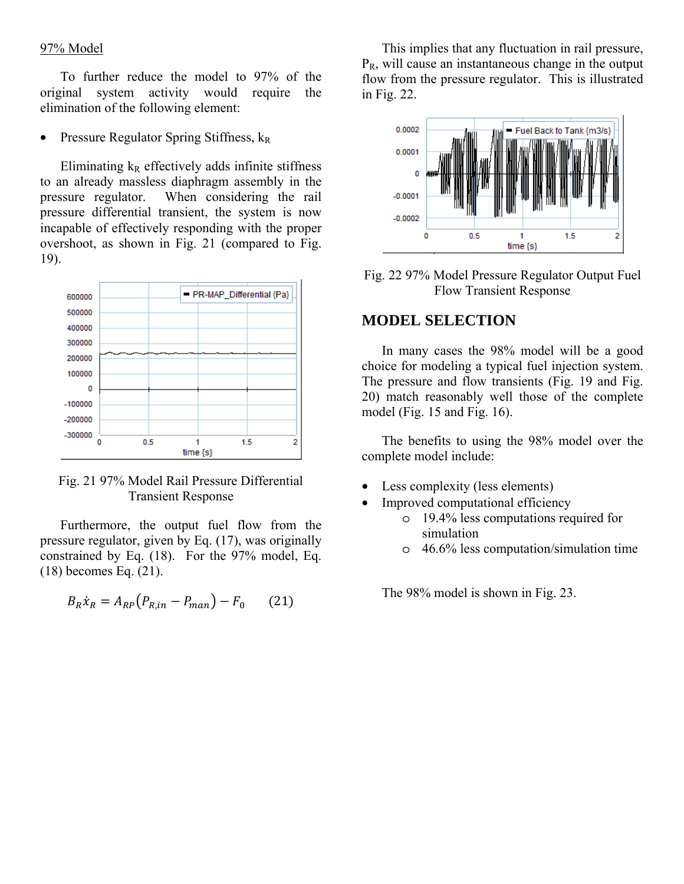#### 97% Model

To further reduce the model to 97% of the original system activity would require the elimination of the following element:

Pressure Regulator Spring Stiffness,  $k_R$ 

Eliminating  $k_R$  effectively adds infinite stiffness to an already massless diaphragm assembly in the pressure regulator. When considering the rail pressure differential transient, the system is now incapable of effectively responding with the proper overshoot, as shown in Fig. 21 (compared to Fig. 19).





Furthermore, the output fuel flow from the pressure regulator, given by Eq. (17), was originally constrained by Eq. (18). For the 97% model, Eq. (18) becomes Eq. (21).

$$
B_R \dot{x}_R = A_{RP} (P_{R,in} - P_{man}) - F_0 \qquad (21)
$$

This implies that any fluctuation in rail pressure,  $P_R$ , will cause an instantaneous change in the output flow from the pressure regulator. This is illustrated in Fig. 22.



Fig. 22 97% Model Pressure Regulator Output Fuel Flow Transient Response

### **MODEL SELECTION**

In many cases the 98% model will be a good choice for modeling a typical fuel injection system. The pressure and flow transients (Fig. 19 and Fig. 20) match reasonably well those of the complete model (Fig. 15 and Fig. 16).

The benefits to using the 98% model over the complete model include:

- Less complexity (less elements)
- Improved computational efficiency
	- o 19.4% less computations required for simulation
	- o 46.6% less computation/simulation time

The 98% model is shown in Fig. 23.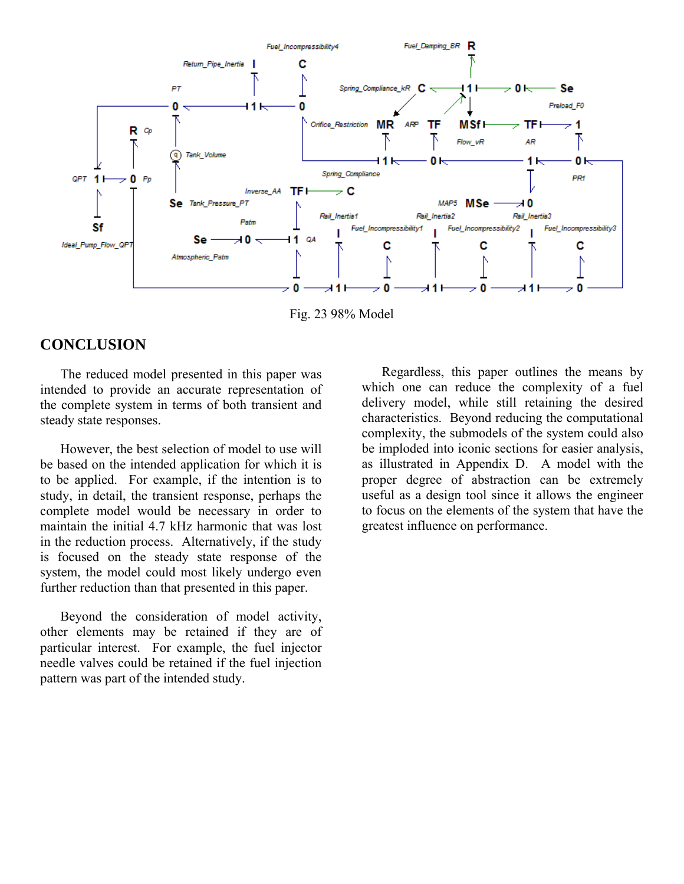

Fig. 23 98% Model

## **CONCLUSION**

The reduced model presented in this paper was intended to provide an accurate representation of the complete system in terms of both transient and steady state responses.

However, the best selection of model to use will be based on the intended application for which it is to be applied. For example, if the intention is to study, in detail, the transient response, perhaps the complete model would be necessary in order to maintain the initial 4.7 kHz harmonic that was lost in the reduction process. Alternatively, if the study is focused on the steady state response of the system, the model could most likely undergo even further reduction than that presented in this paper.

Beyond the consideration of model activity, other elements may be retained if they are of particular interest. For example, the fuel injector needle valves could be retained if the fuel injection pattern was part of the intended study.

Regardless, this paper outlines the means by which one can reduce the complexity of a fuel delivery model, while still retaining the desired characteristics. Beyond reducing the computational complexity, the submodels of the system could also be imploded into iconic sections for easier analysis, as illustrated in Appendix D. A model with the proper degree of abstraction can be extremely useful as a design tool since it allows the engineer to focus on the elements of the system that have the greatest influence on performance.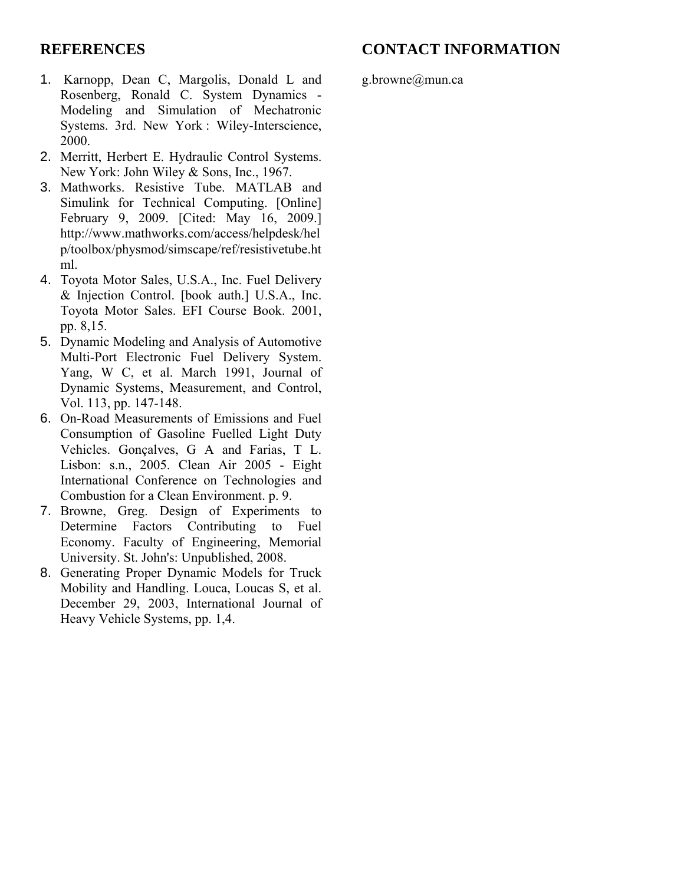## **CONTACT INFORMATION**

## **REFERENCES**

- 1. Karnopp, Dean C, Margolis, Donald L and Rosenberg, Ronald C. System Dynamics - Modeling and Simulation of Mechatronic Systems. 3rd. New York : Wiley-Interscience, 2000.
- 2. Merritt, Herbert E. Hydraulic Control Systems. New York: John Wiley & Sons, Inc., 1967.
- 3. Mathworks. Resistive Tube. MATLAB and Simulink for Technical Computing. [Online] February 9, 2009. [Cited: May 16, 2009.] http://www.mathworks.com/access/helpdesk/hel p/toolbox/physmod/simscape/ref/resistivetube.ht ml.
- 4. Toyota Motor Sales, U.S.A., Inc. Fuel Delivery & Injection Control. [book auth.] U.S.A., Inc. Toyota Motor Sales. EFI Course Book. 2001, pp. 8,15.
- 5. Dynamic Modeling and Analysis of Automotive Multi-Port Electronic Fuel Delivery System. Yang, W C, et al. March 1991, Journal of Dynamic Systems, Measurement, and Control, Vol. 113, pp. 147-148.
- 6. On-Road Measurements of Emissions and Fuel Consumption of Gasoline Fuelled Light Duty Vehicles. Gonçalves, G A and Farias, T L. Lisbon: s.n., 2005. Clean Air 2005 - Eight International Conference on Technologies and Combustion for a Clean Environment. p. 9.
- 7. Browne, Greg. Design of Experiments to Determine Factors Contributing to Fuel Economy. Faculty of Engineering, Memorial University. St. John's: Unpublished, 2008.
- 8. Generating Proper Dynamic Models for Truck Mobility and Handling. Louca, Loucas S, et al. December 29, 2003, International Journal of Heavy Vehicle Systems, pp. 1,4.

g.browne@mun.ca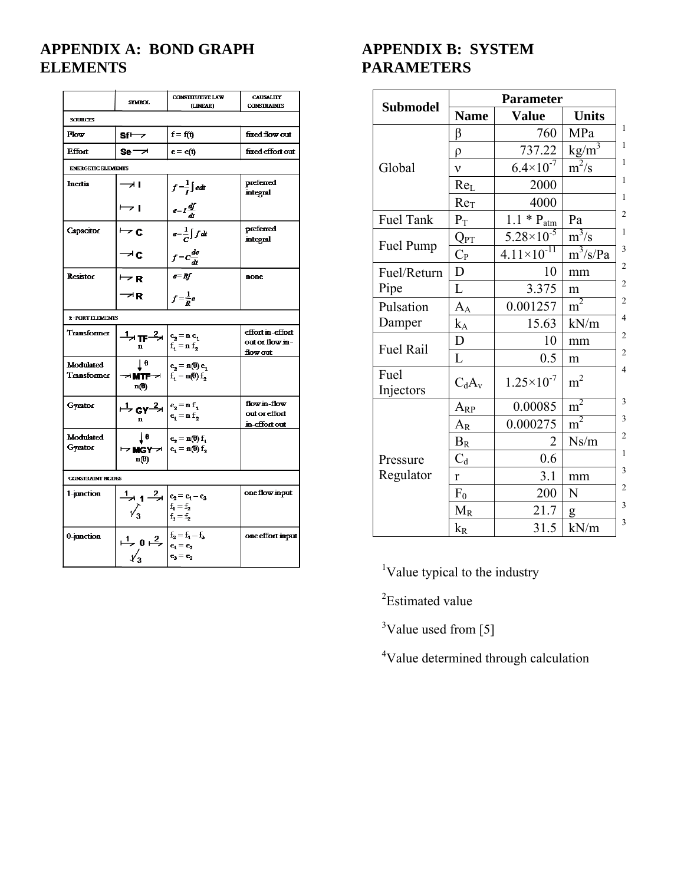## **APPENDIX A: BOND GRAPH ELEMENTS**

|                           | <b>STMBOL</b>                                                                                                                                                                                                                                      | <b>CONSTITUTIVE LAW</b><br>(LINEAR)                                           | <b>CAUSALITY</b><br><b>CONSTRAINTS</b>          |  |  |  |  |
|---------------------------|----------------------------------------------------------------------------------------------------------------------------------------------------------------------------------------------------------------------------------------------------|-------------------------------------------------------------------------------|-------------------------------------------------|--|--|--|--|
| <b>SOURCES</b>            |                                                                                                                                                                                                                                                    |                                                                               |                                                 |  |  |  |  |
| Flow                      | sf⇔                                                                                                                                                                                                                                                | $f = f(t)$                                                                    | fixed flow out                                  |  |  |  |  |
| <b>Effort</b>             | $se -\lambda$                                                                                                                                                                                                                                      | $e = e(t)$                                                                    | fixed effort out                                |  |  |  |  |
| <b>ENERGETIC ELEMENTS</b> |                                                                                                                                                                                                                                                    |                                                                               |                                                 |  |  |  |  |
| Inertia                   | ᆋ                                                                                                                                                                                                                                                  | $f=\frac{1}{I}\int e dt$                                                      | preferred<br>integral                           |  |  |  |  |
|                           | $\mapsto$ 1                                                                                                                                                                                                                                        | $e = I \frac{df}{dt}$                                                         |                                                 |  |  |  |  |
| Capacitor                 | $\overline{\phantom{a}}$ c                                                                                                                                                                                                                         | $e=\frac{1}{C}\int f dt$                                                      | preferred<br>integral                           |  |  |  |  |
|                           | $\rightarrow$ c                                                                                                                                                                                                                                    | $\frac{f = c\frac{de}{dt}}{e = Rf}$                                           |                                                 |  |  |  |  |
| <b>Resistor</b>           | $\overline{\phantom{a}}$ R                                                                                                                                                                                                                         |                                                                               | none                                            |  |  |  |  |
|                           | $\rightarrow$ R                                                                                                                                                                                                                                    | $f = \frac{1}{R}e$                                                            |                                                 |  |  |  |  |
| <b>2-PORT ELEMENTS</b>    |                                                                                                                                                                                                                                                    |                                                                               |                                                 |  |  |  |  |
| Transformer               | $\frac{1}{n} \prod_{n \atop n} \frac{2}{\left  \begin{matrix} e_2 = n e_1 \\ f_1 = n f_2 \end{matrix} \right }$                                                                                                                                    |                                                                               | effort in-effort<br>out or flow in-<br>flow out |  |  |  |  |
| Modulated<br>Transformer  | 1 <sub>0</sub><br>≁ MTF→<br>n(0)                                                                                                                                                                                                                   | $\mathbf{e}_2 = \mathbf{n}(\mathbf{\theta}) \mathbf{e}_1$<br>$f_1 = n(0) f_2$ |                                                 |  |  |  |  |
| Gyrator                   | $\int \frac{1}{2} GY^{-2} d\theta$ $\begin{cases} e_2 = n f_1 \\ e_1 = n f_2 \end{cases}$                                                                                                                                                          |                                                                               | flow in-flow<br>out or effort<br>in-effort out  |  |  |  |  |
| Modulated<br>Gyrator      | 1e<br>$\mapsto \text{MGY} \rightarrow  e_1 = n(0) f_2$<br>$n(\theta)$                                                                                                                                                                              | $\mathbf{e}_2 = \mathbf{n}(\mathbf{\theta}) \mathbf{f}_1$                     |                                                 |  |  |  |  |
| <b>CONSTRAINT NODES</b>   |                                                                                                                                                                                                                                                    |                                                                               |                                                 |  |  |  |  |
| 1-junction                | $\frac{1}{2}$ $\left  \frac{2}{2} \right $ $\left  \frac{e_2}{e_1} \right  = e_1 - e_3$<br>$\begin{array}{c} \mathcal{N}_3 \\ \mathcal{N}_3 \end{array}$ $\begin{array}{c} \mathbf{f}_1 = \mathbf{f}_2 \\ \mathbf{f}_3 = \mathbf{f}_2 \end{array}$ |                                                                               | one flow input                                  |  |  |  |  |
| 0-junction                | 1<br>0<br>2<br>$\begin{array}{ c c }\n 2 \\  e_1 = e_2 \\  e_3 = e_3\n\end{array}$                                                                                                                                                                 |                                                                               | one effort input                                |  |  |  |  |
|                           |                                                                                                                                                                                                                                                    |                                                                               |                                                 |  |  |  |  |

## **APPENDIX B: SYSTEM PARAMETERS**

|                   | <b>Parameter</b>            |                        |                |  |
|-------------------|-----------------------------|------------------------|----------------|--|
| <b>Submodel</b>   | <b>Name</b><br><b>Value</b> |                        | <b>Units</b>   |  |
|                   | β                           | 760                    | MPa            |  |
|                   | $\rho$                      | 737.22                 | $kg/m^3$       |  |
| Global            | $\mathbf{v}$                | $6.4 \times 10^{-7}$   | $m^2/s$        |  |
|                   | Re <sub>L</sub>             | 2000                   |                |  |
|                   | Re <sub>T</sub>             | 4000                   |                |  |
| Fuel Tank         | $\mathbf{P}_\text{T}$       | $1.1 * P_{atm}$        | Pa             |  |
|                   | $Q_{\rm PT}$                | $5.28 \times 10^{-5}$  | $m^3/s$        |  |
| Fuel Pump         | $C_{P}$                     | $4.11 \times 10^{-11}$ | $m^3/s/Pa$     |  |
| Fuel/Return       | D                           | 10                     | mm             |  |
| Pipe              | L                           | 3.375                  | m              |  |
| Pulsation         | $A_A$                       | 0.001257               | $m^2$          |  |
| Damper            | $k_A$                       | 15.63                  | kN/m           |  |
| Fuel Rail         | D                           | 10                     | mm             |  |
|                   | L                           | 0.5                    | m              |  |
| Fuel<br>Injectors | $C_dA_v$                    | $1.25 \times 10^{-7}$  | m <sup>2</sup> |  |
|                   | $A_{RP}$                    | 0.00085                | $m^2$          |  |
|                   | $A_{R}$                     | 0.000275               | m <sup>2</sup> |  |
|                   | $B_R$                       | 2                      | Ns/m           |  |
| Pressure          | $C_d$                       | 0.6                    |                |  |
| Regulator         | r                           | 3.1                    | mm             |  |
|                   | $F_0$                       | 200                    | N              |  |
|                   | $M_R$                       | 21.7                   | g              |  |
|                   | $k_{R}$                     | 31.5                   | kN/m           |  |

<sup>1</sup>Value typical to the industry

<sup>2</sup>Estimated value

<sup>3</sup>Value used from [5]

<sup>4</sup>Value determined through calculation